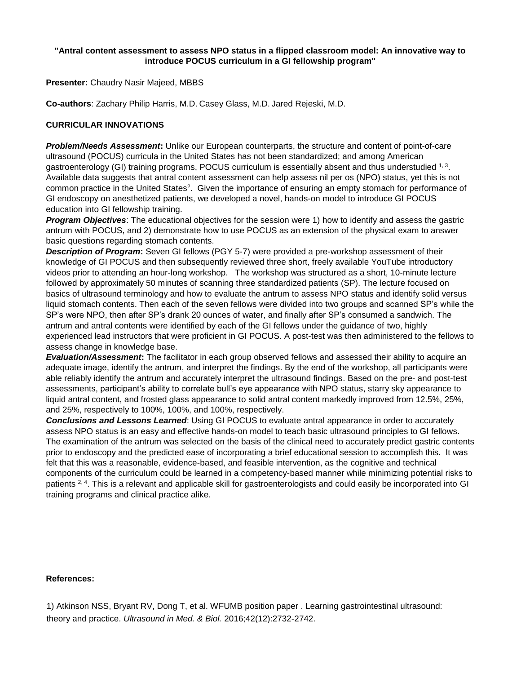## **"Antral content assessment to assess NPO status in a flipped classroom model: An innovative way to introduce POCUS curriculum in a GI fellowship program"**

**Presenter:** Chaudry Nasir Majeed, MBBS

**Co-authors**: Zachary Philip Harris, M.D. Casey Glass, M.D. Jared Rejeski, M.D.

## **CURRICULAR INNOVATIONS**

*Problem/Needs Assessment***:** Unlike our European counterparts, the structure and content of point-of-care ultrasound (POCUS) curricula in the United States has not been standardized; and among American gastroenterology (GI) training programs, POCUS curriculum is essentially absent and thus understudied  $1,3$ . Available data suggests that antral content assessment can help assess nil per os (NPO) status, yet this is not common practice in the United States<sup>2</sup>. Given the importance of ensuring an empty stomach for performance of GI endoscopy on anesthetized patients, we developed a novel, hands-on model to introduce GI POCUS education into GI fellowship training.

*Program Objectives*: The educational objectives for the session were 1) how to identify and assess the gastric antrum with POCUS, and 2) demonstrate how to use POCUS as an extension of the physical exam to answer basic questions regarding stomach contents.

*Description of Program***:** Seven GI fellows (PGY 5-7) were provided a pre-workshop assessment of their knowledge of GI POCUS and then subsequently reviewed three short, freely available YouTube introductory videos prior to attending an hour-long workshop. The workshop was structured as a short, 10-minute lecture followed by approximately 50 minutes of scanning three standardized patients (SP). The lecture focused on basics of ultrasound terminology and how to evaluate the antrum to assess NPO status and identify solid versus liquid stomach contents. Then each of the seven fellows were divided into two groups and scanned SP's while the SP's were NPO, then after SP's drank 20 ounces of water, and finally after SP's consumed a sandwich. The antrum and antral contents were identified by each of the GI fellows under the guidance of two, highly experienced lead instructors that were proficient in GI POCUS. A post-test was then administered to the fellows to assess change in knowledge base.

*Evaluation/Assessment***:** The facilitator in each group observed fellows and assessed their ability to acquire an adequate image, identify the antrum, and interpret the findings. By the end of the workshop, all participants were able reliably identify the antrum and accurately interpret the ultrasound findings. Based on the pre- and post-test assessments, participant's ability to correlate bull's eye appearance with NPO status, starry sky appearance to liquid antral content, and frosted glass appearance to solid antral content markedly improved from 12.5%, 25%, and 25%, respectively to 100%, 100%, and 100%, respectively.

*Conclusions and Lessons Learned*: Using GI POCUS to evaluate antral appearance in order to accurately assess NPO status is an easy and effective hands-on model to teach basic ultrasound principles to GI fellows. The examination of the antrum was selected on the basis of the clinical need to accurately predict gastric contents prior to endoscopy and the predicted ease of incorporating a brief educational session to accomplish this. It was felt that this was a reasonable, evidence-based, and feasible intervention, as the cognitive and technical components of the curriculum could be learned in a competency-based manner while minimizing potential risks to patients 2.4. This is a relevant and applicable skill for gastroenterologists and could easily be incorporated into GI training programs and clinical practice alike.

## **References:**

1) Atkinson NSS, Bryant RV, Dong T, et al. WFUMB position paper . Learning gastrointestinal ultrasound: theory and practice. *Ultrasound in Med. & Biol.* 2016;42(12):2732-2742.